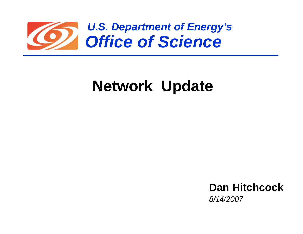

## **Network Update**

**Dan Hitchcock***8/14/2007*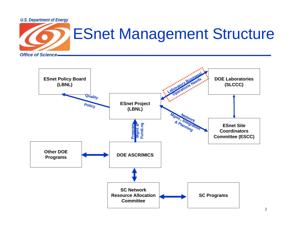



2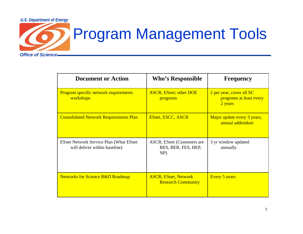

## Program Management Tools

| <b>Document or Action</b>                                                       | <b>Who's Responsible</b>                                  | <b>Frequency</b>                                               |
|---------------------------------------------------------------------------------|-----------------------------------------------------------|----------------------------------------------------------------|
| Program specific network requirements<br>workshops                              | <b>ASCR</b> ; ESnet; other DOE<br>programs                | 2 per year, cover all SC<br>programs at least every<br>2 years |
| <b>Consolidated Network Requirements Plan</b>                                   | <b>ESnet, ESCC, ASCR</b>                                  | Major update every 3 years,<br>annual addendum                 |
| <b>ESnet Network Service Plan (What ESnet)</b><br>will deliver within baseline) | ASCR; ESnet (Customers are<br>BES, BER, FES, HEP,<br>NP)  | 3 yr window updated<br>annually                                |
| <b>Networks for Science R&amp;D Roadmap</b>                                     | <b>ASCR</b> ; ESnet, Network<br><b>Research Community</b> | <b>Every 5 years</b>                                           |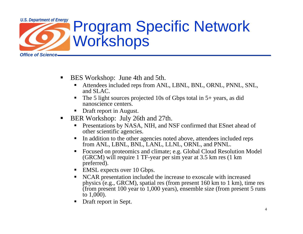

- $\blacksquare$  BES Workshop: June 4th and 5th.
	- Attendees included reps from ANL, LBNL, BNL, ORNL, PNNL, SNL, and SLAC.
	- $\blacksquare$  The 5 light sources projected 10s of Gbps total in 5+ years, as did nanoscience centers.
	- П Draft report in August.
- ▉ BER Workshop: July 26th and 27th.
	- **Presentations by NASA, NIH, and NSF confirmed that ESnet ahead of** other scientific agencies.
	- $\blacksquare$  In addition to the other agencies noted above, attendees included reps from ANL, LBNL, BNL, LANL, LLNL, ORNL, and PNNL.
	- Focused on proteomics and climate; e.g. Global Cloud Resolution Model (GRCM) will require 1 TF-year per sim year at 3.5 km res (1 km preferred).
	- **EMSL expects over 10 Gbps.**
	- NCAR presentation included the increase to exoscale with increased physics (e.g., GRCM), spatial res (from present 160 km to 1 km), time res (from present 100 year to 1,000 years), ensemble size (from present 5 runs to  $1,000$ ).
	- $\blacksquare$ Draft report in Sept.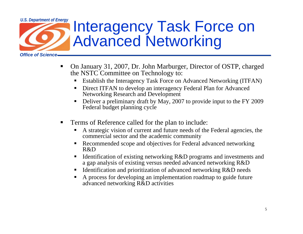

- On January 31, 2007, Dr. John Marburger, Director of OSTP, charged the NSTC Committee on Technology to:
	- $\blacksquare$ Establish the Interagency Task Force on Advanced Networking (ITFAN)
	- П Direct ITFAN to develop an interagency Federal Plan for Advanced Networking Research and Development
	- $\blacksquare$  Deliver a preliminary draft by May, 2007 to provide input to the FY 2009 Federal budget planning cycle
- Terms of Reference called for the plan to include:
	- A strategic vision of current and future needs of the Federal agencies, the commercial sector and the academic community
	- $\blacksquare$  Recommended scope and objectives for Federal advanced networking R&D
	- $\blacksquare$  Identification of existing networking R&D programs and investments and a gap analysis of existing versus needed advanced networking R&D
	- $\blacksquare$ Identification and prioritization of advanced networking R&D needs
	- $\blacksquare$  A process for developing an implementation roadmap to guide future advanced networking R&D activities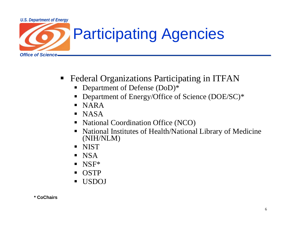

## Participating Agencies

- $\blacksquare$  Federal Organizations Participating in ITFAN
	- $\blacksquare$ Department of Defense (DoD)\*
	- П Department of Energy/Office of Science (DOE/SC)\*
	- $\blacksquare$ NARA
	- $\blacksquare$ NASA
	- $\blacksquare$ National Coordination Office (NCO)
	- $\blacksquare$  National Institutes of Health/National Library of Medicine (NIH/NLM)
	- **NIST**
	- $\blacksquare$ NSA
	- П NSF\*
	- $\blacksquare$ **OSTP**
	- ш USDOJ

**\* CoChairs**